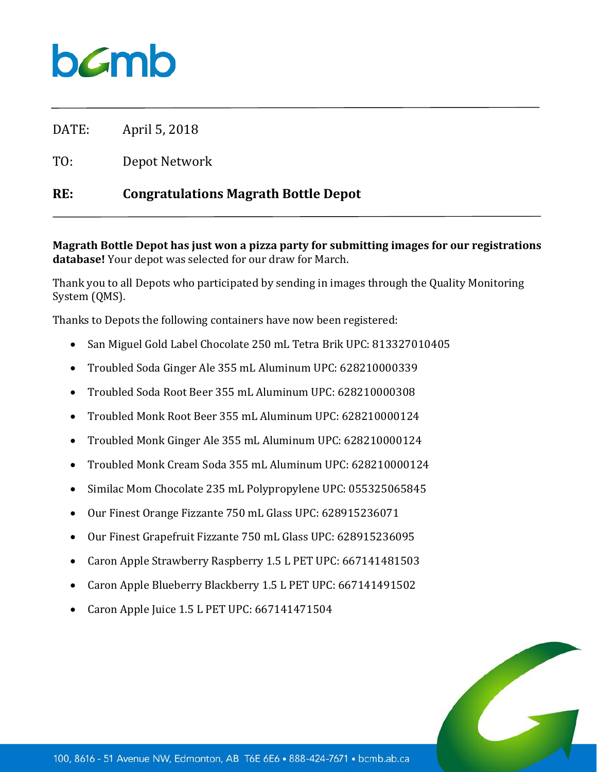## $b$ *C*mb

DATE: April 5, 2018

TO: Depot Network

## **RE: Congratulations Magrath Bottle Depot**

**Magrath Bottle Depot has just won a pizza party for submitting images for our registrations database!** Your depot was selected for our draw for March.

Thank you to all Depots who participated by sending in images through the Quality Monitoring System (QMS).

Thanks to Depots the following containers have now been registered:

- San Miguel Gold Label Chocolate 250 mL Tetra Brik UPC: 813327010405
- Troubled Soda Ginger Ale 355 mL Aluminum UPC: 628210000339
- Troubled Soda Root Beer 355 mL Aluminum UPC: 628210000308
- Troubled Monk Root Beer 355 mL Aluminum UPC: 628210000124
- Troubled Monk Ginger Ale 355 mL Aluminum UPC: 628210000124
- Troubled Monk Cream Soda 355 mL Aluminum UPC: 628210000124
- Similac Mom Chocolate 235 mL Polypropylene UPC: 055325065845
- Our Finest Orange Fizzante 750 mL Glass UPC: 628915236071
- Our Finest Grapefruit Fizzante 750 mL Glass UPC: 628915236095
- Caron Apple Strawberry Raspberry 1.5 L PET UPC: 667141481503
- Caron Apple Blueberry Blackberry 1.5 L PET UPC: 667141491502
- Caron Apple Juice 1.5 L PET UPC: 667141471504